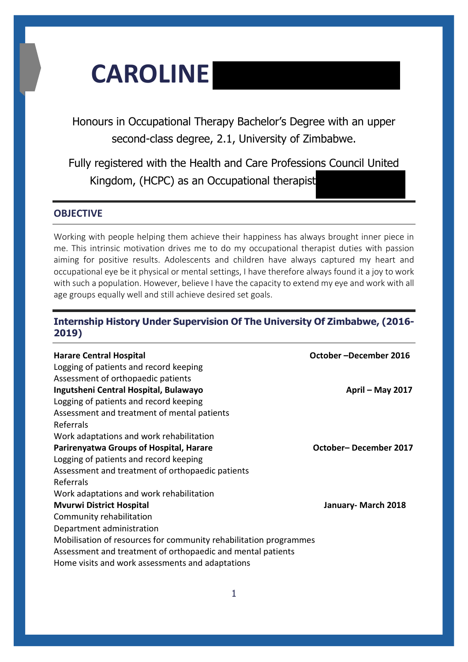# **CAROLINE**

Honours in Occupational Therapy Bachelor's Degree with an upper second-class degree, 2.1, University of Zimbabwe.

Fully registered with the Health and Care Professions Council United Kingdom, (HCPC) as an Occupational therapist

# **OBJECTIVE**

Working with people helping them achieve their happiness has always brought inner piece in me. This intrinsic motivation drives me to do my occupational therapist duties with passion aiming for positive results. Adolescents and children have always captured my heart and occupational eye be it physical or mental settings, I have therefore always found it a joy to work with such a population. However, believe I have the capacity to extend my eye and work with all age groups equally well and still achieve desired set goals.

# **Internship History Under Supervision Of The University Of Zimbabwe, (2016- 2019)**

| <b>Harare Central Hospital</b><br>Logging of patients and record keeping | October-December 2016 |
|--------------------------------------------------------------------------|-----------------------|
| Assessment of orthopaedic patients                                       |                       |
| Ingutsheni Central Hospital, Bulawayo                                    | April – May 2017      |
| Logging of patients and record keeping                                   |                       |
| Assessment and treatment of mental patients                              |                       |
| Referrals                                                                |                       |
| Work adaptations and work rehabilitation                                 |                       |
| <b>Parirenyatwa Groups of Hospital, Harare</b>                           | October-December 2017 |
| Logging of patients and record keeping                                   |                       |
| Assessment and treatment of orthopaedic patients                         |                       |
| Referrals                                                                |                       |
| Work adaptations and work rehabilitation                                 |                       |
| <b>Mvurwi District Hospital</b>                                          | January- March 2018   |
| Community rehabilitation                                                 |                       |
| Department administration                                                |                       |
| Mobilisation of resources for community rehabilitation programmes        |                       |
| Assessment and treatment of orthopaedic and mental patients              |                       |
| Home visits and work assessments and adaptations                         |                       |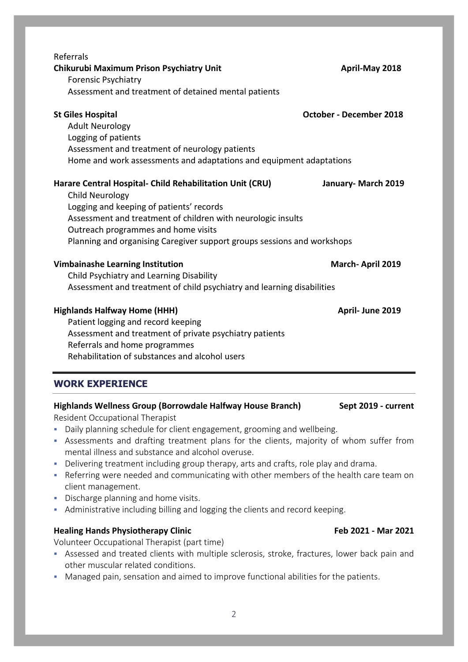| Referrals                                                                                    |                                |  |  |  |
|----------------------------------------------------------------------------------------------|--------------------------------|--|--|--|
| Chikurubi Maximum Prison Psychiatry Unit                                                     | April-May 2018                 |  |  |  |
| <b>Forensic Psychiatry</b>                                                                   |                                |  |  |  |
| Assessment and treatment of detained mental patients                                         |                                |  |  |  |
| <b>St Giles Hospital</b>                                                                     | <b>October - December 2018</b> |  |  |  |
| <b>Adult Neurology</b>                                                                       |                                |  |  |  |
| Logging of patients                                                                          |                                |  |  |  |
| Assessment and treatment of neurology patients                                               |                                |  |  |  |
| Home and work assessments and adaptations and equipment adaptations                          |                                |  |  |  |
| Harare Central Hospital- Child Rehabilitation Unit (CRU)                                     | January- March 2019            |  |  |  |
| <b>Child Neurology</b>                                                                       |                                |  |  |  |
| Logging and keeping of patients' records                                                     |                                |  |  |  |
| Assessment and treatment of children with neurologic insults                                 |                                |  |  |  |
| Outreach programmes and home visits                                                          |                                |  |  |  |
| Planning and organising Caregiver support groups sessions and workshops                      |                                |  |  |  |
| <b>Vimbainashe Learning Institution</b>                                                      | March-April 2019               |  |  |  |
| Child Psychiatry and Learning Disability                                                     |                                |  |  |  |
| Assessment and treatment of child psychiatry and learning disabilities                       |                                |  |  |  |
| <b>Highlands Halfway Home (HHH)</b>                                                          | April- June 2019               |  |  |  |
| Patient logging and record keeping                                                           |                                |  |  |  |
| Assessment and treatment of private psychiatry patients                                      |                                |  |  |  |
| Referrals and home programmes                                                                |                                |  |  |  |
| Rehabilitation of substances and alcohol users                                               |                                |  |  |  |
| <b>WORK EXPERIENCE</b>                                                                       |                                |  |  |  |
| Highlands Wellness Group (Borrowdale Halfway House Branch)                                   | Sept 2019 - current            |  |  |  |
| Resident Occupational Therapist                                                              |                                |  |  |  |
| Daily planning schedule for client engagement, grooming and wellbeing.                       |                                |  |  |  |
| Assessments and drafting treatment plans for the clients, majority of whom suffer from<br>I. |                                |  |  |  |
| mental illness and substance and alcohol overuse.                                            |                                |  |  |  |
|                                                                                              |                                |  |  |  |

- Delivering treatment including group therapy, arts and crafts, role play and drama.
- Referring were needed and communicating with other members of the health care team on client management.
- Discharge planning and home visits.
- Administrative including billing and logging the clients and record keeping.

# **Healing Hands Physiotherapy Clinic <b>Feb 2021 -** Mar 2021 **-** Mar 2021

Volunteer Occupational Therapist (part time)

- Assessed and treated clients with multiple sclerosis, stroke, fractures, lower back pain and other muscular related conditions.
- Managed pain, sensation and aimed to improve functional abilities for the patients.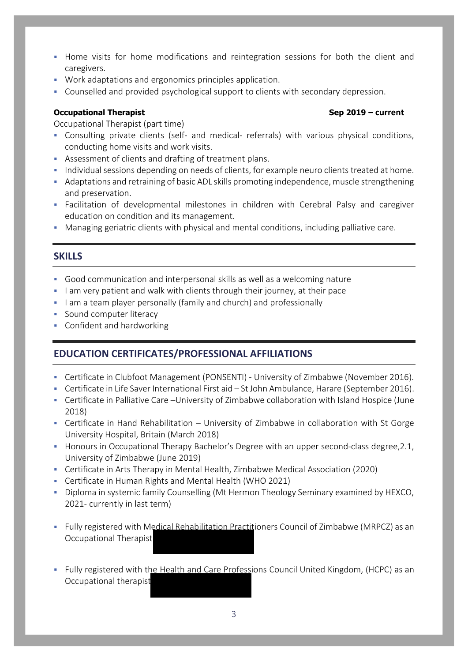- **Home visits for home modifications and reintegration sessions for both the client and** caregivers.
- Work adaptations and ergonomics principles application.
- Counselled and provided psychological support to clients with secondary depression.

# **Occupational Therapist Sep 2019 – current**

Occupational Therapist (part time)

- Consulting private clients (self- and medical- referrals) with various physical conditions, conducting home visits and work visits.
- Assessment of clients and drafting of treatment plans.
- Individual sessions depending on needs of clients, for example neuro clients treated at home.
- Adaptations and retraining of basic ADL skills promoting independence, muscle strengthening and preservation.
- Facilitation of developmental milestones in children with Cerebral Palsy and caregiver education on condition and its management.
- Managing geriatric clients with physical and mental conditions, including palliative care.

# **SKILLS**

- Good communication and interpersonal skills as well as a welcoming nature
- I am very patient and walk with clients through their journey, at their pace
- I am a team player personally (family and church) and professionally
- **Sound computer literacy**
- **Confident and hardworking**

# **EDUCATION CERTIFICATES/PROFESSIONAL AFFILIATIONS**

- Certificate in Clubfoot Management (PONSENTI) University of Zimbabwe (November 2016).
- Certificate in Life Saver International First aid St John Ambulance, Harare (September 2016).
- Certificate in Palliative Care –University of Zimbabwe collaboration with Island Hospice (June 2018)
- Certificate in Hand Rehabilitation University of Zimbabwe in collaboration with St Gorge University Hospital, Britain (March 2018)
- Honours in Occupational Therapy Bachelor's Degree with an upper second-class degree, 2.1, University of Zimbabwe (June 2019)
- Certificate in Arts Therapy in Mental Health, Zimbabwe Medical Association (2020)
- Certificate in Human Rights and Mental Health (WHO 2021)
- Diploma in systemic family Counselling (Mt Hermon Theology Seminary examined by HEXCO, 2021- currently in last term)
- Fully registered with Medical Rehabilitation Practitioners Council of Zimbabwe (MRPCZ) as an Occupational Therapist
- Fully registered with the Health and Care Professions Council United Kingdom, (HCPC) as an Occupational therapist